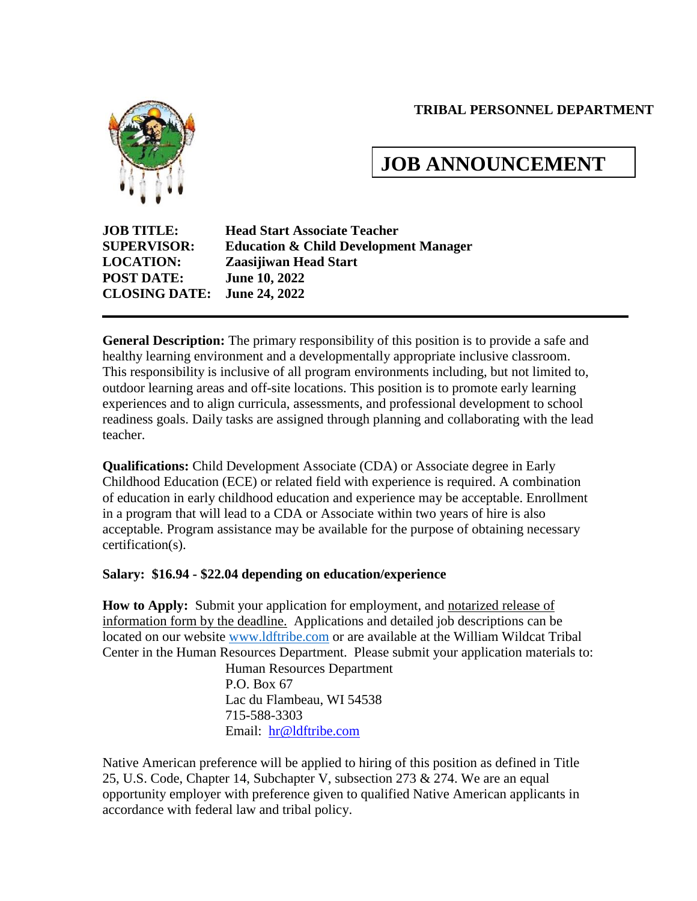#### **TRIBAL PERSONNEL DEPARTMENT**



# **JOB ANNOUNCEMENT**

**JOB TITLE: Head Start Associate Teacher SUPERVISOR: Education & Child Development Manager LOCATION: Zaasijiwan Head Start POST DATE: June 10, 2022 CLOSING DATE: June 24, 2022**

**General Description:** The primary responsibility of this position is to provide a safe and healthy learning environment and a developmentally appropriate inclusive classroom. This responsibility is inclusive of all program environments including, but not limited to, outdoor learning areas and off-site locations. This position is to promote early learning experiences and to align curricula, assessments, and professional development to school readiness goals. Daily tasks are assigned through planning and collaborating with the lead teacher.

**Qualifications:** Child Development Associate (CDA) or Associate degree in Early Childhood Education (ECE) or related field with experience is required. A combination of education in early childhood education and experience may be acceptable. Enrollment in a program that will lead to a CDA or Associate within two years of hire is also acceptable. Program assistance may be available for the purpose of obtaining necessary certification(s).

#### **Salary: \$16.94 - \$22.04 depending on education/experience**

**How to Apply:** Submit your application for employment, and notarized release of information form by the deadline. Applications and detailed job descriptions can be located on our website [www.ldftribe.com](http://www.ldftribe.com/) or are available at the William Wildcat Tribal Center in the Human Resources Department. Please submit your application materials to:

> Human Resources Department P.O. Box 67 Lac du Flambeau, WI 54538 715-588-3303 Email: [hr@ldftribe.com](mailto:hr@ldftribe.com)

Native American preference will be applied to hiring of this position as defined in Title 25, U.S. Code, Chapter 14, Subchapter V, subsection 273 & 274. We are an equal opportunity employer with preference given to qualified Native American applicants in accordance with federal law and tribal policy.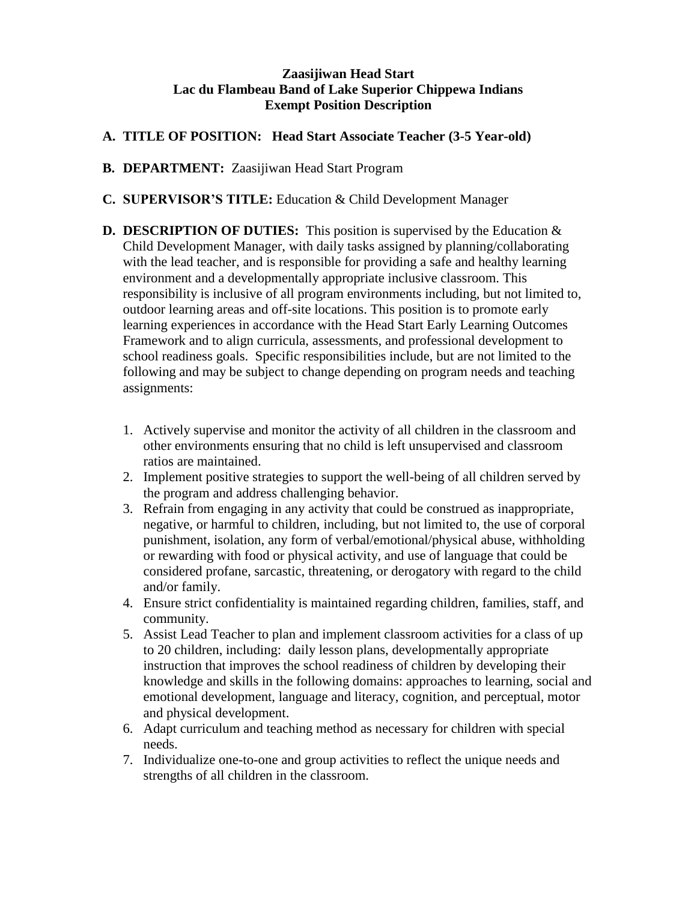#### **Zaasijiwan Head Start Lac du Flambeau Band of Lake Superior Chippewa Indians Exempt Position Description**

#### **A. TITLE OF POSITION: Head Start Associate Teacher (3-5 Year-old)**

- **B. DEPARTMENT:** Zaasijiwan Head Start Program
- **C. SUPERVISOR'S TITLE:** Education & Child Development Manager
- **D. DESCRIPTION OF DUTIES:** This position is supervised by the Education & Child Development Manager, with daily tasks assigned by planning/collaborating with the lead teacher, and is responsible for providing a safe and healthy learning environment and a developmentally appropriate inclusive classroom. This responsibility is inclusive of all program environments including, but not limited to, outdoor learning areas and off-site locations. This position is to promote early learning experiences in accordance with the Head Start Early Learning Outcomes Framework and to align curricula, assessments, and professional development to school readiness goals. Specific responsibilities include, but are not limited to the following and may be subject to change depending on program needs and teaching assignments:
	- 1. Actively supervise and monitor the activity of all children in the classroom and other environments ensuring that no child is left unsupervised and classroom ratios are maintained.
	- 2. Implement positive strategies to support the well-being of all children served by the program and address challenging behavior.
	- 3. Refrain from engaging in any activity that could be construed as inappropriate, negative, or harmful to children, including, but not limited to, the use of corporal punishment, isolation, any form of verbal/emotional/physical abuse, withholding or rewarding with food or physical activity, and use of language that could be considered profane, sarcastic, threatening, or derogatory with regard to the child and/or family.
	- 4. Ensure strict confidentiality is maintained regarding children, families, staff, and community.
	- 5. Assist Lead Teacher to plan and implement classroom activities for a class of up to 20 children, including: daily lesson plans, developmentally appropriate instruction that improves the school readiness of children by developing their knowledge and skills in the following domains: approaches to learning, social and emotional development, language and literacy, cognition, and perceptual, motor and physical development.
	- 6. Adapt curriculum and teaching method as necessary for children with special needs.
	- 7. Individualize one-to-one and group activities to reflect the unique needs and strengths of all children in the classroom.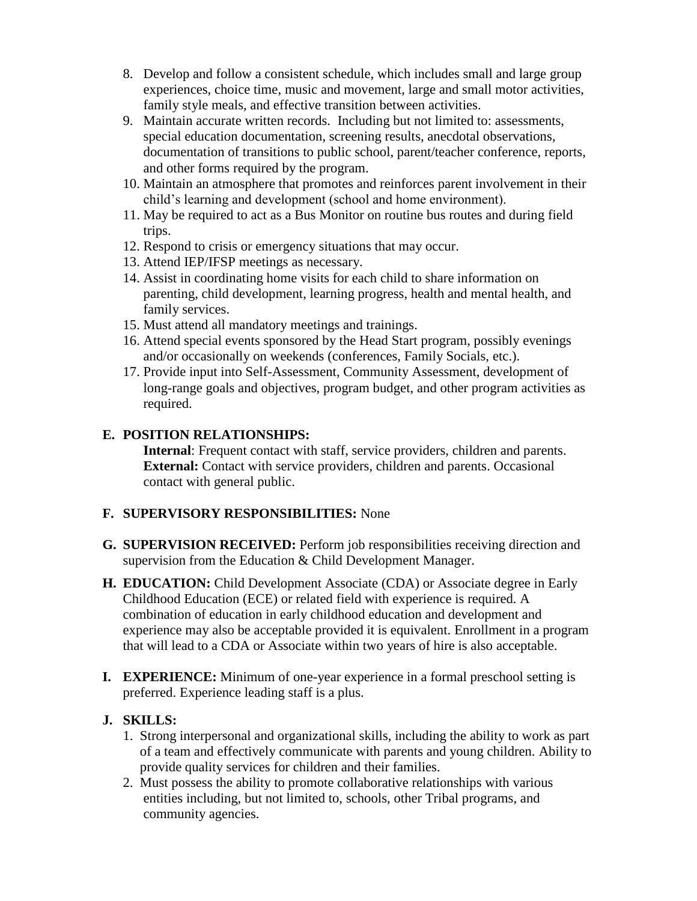- 8. Develop and follow a consistent schedule, which includes small and large group experiences, choice time, music and movement, large and small motor activities, family style meals, and effective transition between activities.
- 9. Maintain accurate written records. Including but not limited to: assessments, special education documentation, screening results, anecdotal observations, documentation of transitions to public school, parent/teacher conference, reports, and other forms required by the program.
- 10. Maintain an atmosphere that promotes and reinforces parent involvement in their child's learning and development (school and home environment).
- 11. May be required to act as a Bus Monitor on routine bus routes and during field trips.
- 12. Respond to crisis or emergency situations that may occur.
- 13. Attend IEP/IFSP meetings as necessary.
- 14. Assist in coordinating home visits for each child to share information on parenting, child development, learning progress, health and mental health, and family services.
- 15. Must attend all mandatory meetings and trainings.
- 16. Attend special events sponsored by the Head Start program, possibly evenings and/or occasionally on weekends (conferences, Family Socials, etc.).
- 17. Provide input into Self-Assessment, Community Assessment, development of long-range goals and objectives, program budget, and other program activities as required.

## **E. POSITION RELATIONSHIPS:**

**Internal**: Frequent contact with staff, service providers, children and parents. **External:** Contact with service providers, children and parents. Occasional contact with general public.

## **F. SUPERVISORY RESPONSIBILITIES:** None

- **G. SUPERVISION RECEIVED:** Perform job responsibilities receiving direction and supervision from the Education & Child Development Manager.
- **H. EDUCATION:** Child Development Associate (CDA) or Associate degree in Early Childhood Education (ECE) or related field with experience is required. A combination of education in early childhood education and development and experience may also be acceptable provided it is equivalent. Enrollment in a program that will lead to a CDA or Associate within two years of hire is also acceptable.
- **I. EXPERIENCE:** Minimum of one-year experience in a formal preschool setting is preferred. Experience leading staff is a plus.

## **J. SKILLS:**

- 1. Strong interpersonal and organizational skills, including the ability to work as part of a team and effectively communicate with parents and young children. Ability to provide quality services for children and their families.
- 2. Must possess the ability to promote collaborative relationships with various entities including, but not limited to, schools, other Tribal programs, and community agencies.